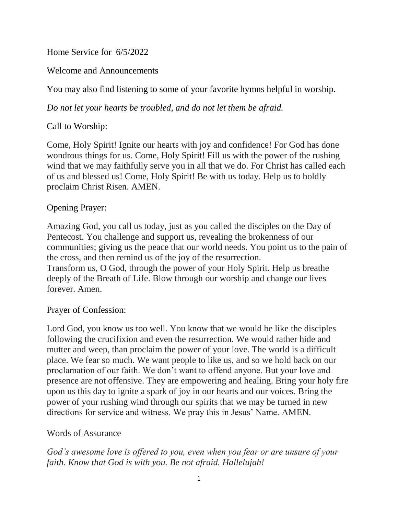Home Service for 6/5/2022

Welcome and Announcements

You may also find listening to some of your favorite hymns helpful in worship.

*Do not let your hearts be troubled, and do not let them be afraid.*

## Call to Worship:

Come, Holy Spirit! Ignite our hearts with joy and confidence! For God has done wondrous things for us. Come, Holy Spirit! Fill us with the power of the rushing wind that we may faithfully serve you in all that we do. For Christ has called each of us and blessed us! Come, Holy Spirit! Be with us today. Help us to boldly proclaim Christ Risen. AMEN.

### Opening Prayer:

Amazing God, you call us today, just as you called the disciples on the Day of Pentecost. You challenge and support us, revealing the brokenness of our communities; giving us the peace that our world needs. You point us to the pain of the cross, and then remind us of the joy of the resurrection. Transform us, O God, through the power of your Holy Spirit. Help us breathe deeply of the Breath of Life. Blow through our worship and change our lives forever. Amen.

#### Prayer of Confession:

Lord God, you know us too well. You know that we would be like the disciples following the crucifixion and even the resurrection. We would rather hide and mutter and weep, than proclaim the power of your love. The world is a difficult place. We fear so much. We want people to like us, and so we hold back on our proclamation of our faith. We don't want to offend anyone. But your love and presence are not offensive. They are empowering and healing. Bring your holy fire upon us this day to ignite a spark of joy in our hearts and our voices. Bring the power of your rushing wind through our spirits that we may be turned in new directions for service and witness. We pray this in Jesus' Name. AMEN.

#### Words of Assurance

*God's awesome love is offered to you, even when you fear or are unsure of your faith. Know that God is with you. Be not afraid. Hallelujah!*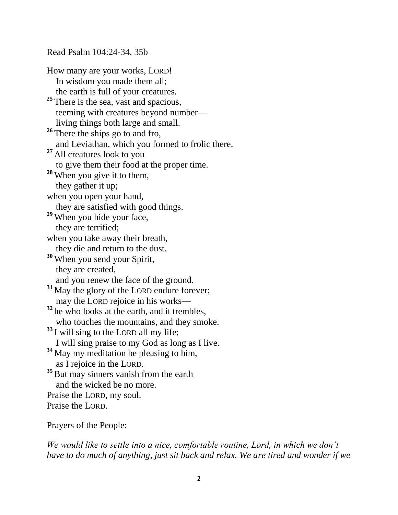Read Psalm 104:24-34, 35b

How many are your works, LORD! In wisdom you made them all; the earth is full of your creatures. <sup>25</sup> There is the sea, vast and spacious, teeming with creatures beyond number living things both large and small. <sup>26</sup> There the ships go to and fro, and Leviathan, which you formed to frolic there. **<sup>27</sup>** All creatures look to you to give them their food at the proper time. **<sup>28</sup>** When you give it to them, they gather it up; when you open your hand, they are satisfied with good things. **<sup>29</sup>** When you hide your face, they are terrified; when you take away their breath, they die and return to the dust. **<sup>30</sup>** When you send your Spirit, they are created, and you renew the face of the ground. <sup>31</sup> May the glory of the LORD endure forever;<br>may the LORD rejoice in his works—  $32$  he who looks at the earth, and it trembles, who touches the mountains, and they smoke. **<sup>33</sup>** I will sing to the LORD all my life; I will sing praise to my God as long as I live. **<sup>34</sup>** May my meditation be pleasing to him, as I rejoice in the LORD. <sup>35</sup> But may sinners vanish from the earth and the wicked be no more. Praise the LORD, my soul. Praise the LORD.

Prayers of the People:

*We would like to settle into a nice, comfortable routine, Lord, in which we don't have to do much of anything, just sit back and relax. We are tired and wonder if we*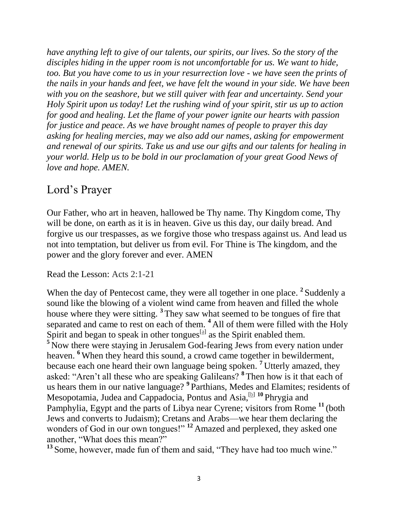*have anything left to give of our talents, our spirits, our lives. So the story of the disciples hiding in the upper room is not uncomfortable for us. We want to hide, too. But you have come to us in your resurrection love - we have seen the prints of the nails in your hands and feet, we have felt the wound in your side. We have been with you on the seashore, but we still quiver with fear and uncertainty. Send your Holy Spirit upon us today! Let the rushing wind of your spirit, stir us up to action for good and healing. Let the flame of your power ignite our hearts with passion for justice and peace. As we have brought names of people to prayer this day asking for healing mercies, may we also add our names, asking for empowerment and renewal of our spirits. Take us and use our gifts and our talents for healing in your world. Help us to be bold in our proclamation of your great Good News of love and hope. AMEN.*

# Lord's Prayer

Our Father, who art in heaven, hallowed be Thy name. Thy Kingdom come, Thy will be done, on earth as it is in heaven. Give us this day, our daily bread. And forgive us our trespasses, as we forgive those who trespass against us. And lead us not into temptation, but deliver us from evil. For Thine is The kingdom, and the power and the glory forever and ever. AMEN

Read the Lesson: Acts 2:1-21

When the day of Pentecost came, they were all together in one place. <sup>2</sup> Suddenly a sound like the blowing of a violent wind came from heaven and filled the whole house where they were sitting. **<sup>3</sup>** They saw what seemed to be tongues of fire that separated and came to rest on each of them. **<sup>4</sup>** All of them were filled with the Holy Spirit and began to speak in other tongues  $[$ <sup>al</sup> as the Spirit enabled them. <sup>5</sup> Now there were staying in Jerusalem God-fearing Jews from every nation under heaven. **<sup>6</sup>** When they heard this sound, a crowd came together in bewilderment, because each one heard their own language being spoken. **<sup>7</sup>** Utterly amazed, they asked: "Aren't all these who are speaking Galileans? **<sup>8</sup>** Then how is it that each of us hears them in our native language? **<sup>9</sup>** Parthians, Medes and Elamites; residents of Mesopotamia, Judea and Cappadocia, Pontus and Asia,[\[b\]](https://www.biblegateway.com/passage/?search=Acts+2%3A1-21&version=NIV#fen-NIV-26959b) **<sup>10</sup>** Phrygia and Pamphylia, Egypt and the parts of Libya near Cyrene; visitors from Rome **<sup>11</sup>** (both Jews and converts to Judaism); Cretans and Arabs—we hear them declaring the wonders of God in our own tongues!" **<sup>12</sup>** Amazed and perplexed, they asked one another, "What does this mean?"

**<sup>13</sup>** Some, however, made fun of them and said, "They have had too much wine."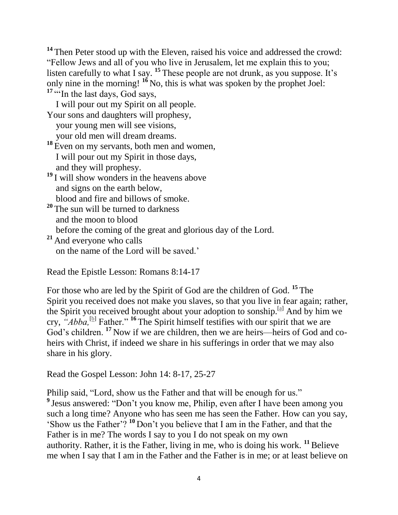**<sup>14</sup>** Then Peter stood up with the Eleven, raised his voice and addressed the crowd: "Fellow Jews and all of you who live in Jerusalem, let me explain this to you; listen carefully to what I say.  $^{15}$  These people are not drunk, as you suppose. It's only nine in the morning! **<sup>16</sup>** No, this is what was spoken by the prophet Joel: <sup>17</sup> "<sup>In</sup> the last days, God says,

| I will pour out my Spirit on all people.                     |
|--------------------------------------------------------------|
| Your sons and daughters will prophesy,                       |
| your young men will see visions,                             |
| your old men will dream dreams.                              |
| <sup>18</sup> Even on my servants, both men and women,       |
| I will pour out my Spirit in those days,                     |
| and they will prophesy.                                      |
| <sup>19</sup> I will show wonders in the heavens above       |
| and signs on the earth below,                                |
| blood and fire and billows of smoke.                         |
| <sup>20</sup> The sun will be turned to darkness             |
| and the moon to blood                                        |
| before the coming of the great and glorious day of the Lord. |
| <sup>21</sup> And everyone who calls                         |
| on the name of the Lord will be saved.'                      |

Read the Epistle Lesson: Romans 8:14-17

For those who are led by the Spirit of God are the children of God. **<sup>15</sup>** The Spirit you received does not make you slaves, so that you live in fear again; rather, the Spirit you received brought about your adoption to sonship.[\[a\]](https://www.biblegateway.com/passage/?search=Romans+8%3A14-17&version=NIV#fen-NIV-28132a) And by him we cry, "*Abba*,<sup>[\[b\]](https://www.biblegateway.com/passage/?search=Romans+8%3A14-17&version=NIV#fen-NIV-28132b)</sup> Father." <sup>16</sup> The Spirit himself testifies with our spirit that we are God's children. <sup>17</sup> Now if we are children, then we are heirs—heirs of God and coheirs with Christ, if indeed we share in his sufferings in order that we may also share in his glory.

Read the Gospel Lesson: John 14: 8-17, 25-27

Philip said, "Lord, show us the Father and that will be enough for us." <sup>9</sup> Jesus answered: "Don't you know me, Philip, even after I have been among you such a long time? Anyone who has seen me has seen the Father. How can you say, 'Show us the Father'? **<sup>10</sup>** Don't you believe that I am in the Father, and that the Father is in me? The words I say to you I do not speak on my own authority. Rather, it is the Father, living in me, who is doing his work.  $\frac{11}{12}$ Believe me when I say that I am in the Father and the Father is in me; or at least believe on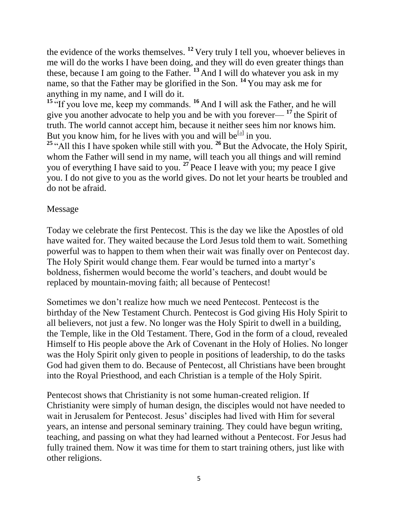the evidence of the works themselves. **<sup>12</sup>** Very truly I tell you, whoever believes in me will do the works I have been doing, and they will do even greater things than these, because I am going to the Father. **<sup>13</sup>** And I will do whatever you ask in my name, so that the Father may be glorified in the Son. **<sup>14</sup>** You may ask me for anything in my name, and I will do it.

**<sup>15</sup>** "If you love me, keep my commands. **<sup>16</sup>** And I will ask the Father, and he will give you another advocate to help you and be with you forever— **<sup>17</sup>** the Spirit of truth. The world cannot accept him, because it neither sees him nor knows him. But you know him, for he lives with you and will be  $[a]$  in you.

**<sup>25</sup>** "All this I have spoken while still with you. **<sup>26</sup>** But the Advocate, the Holy Spirit, whom the Father will send in my name, will teach you all things and will remind you of everything I have said to you. **<sup>27</sup>** Peace I leave with you; my peace I give you. I do not give to you as the world gives. Do not let your hearts be troubled and do not be afraid.

#### Message

Today we celebrate the first Pentecost. This is the day we like the Apostles of old have waited for. They waited because the Lord Jesus told them to wait. Something powerful was to happen to them when their wait was finally over on Pentecost day. The Holy Spirit would change them. Fear would be turned into a martyr's boldness, fishermen would become the world's teachers, and doubt would be replaced by mountain-moving faith; all because of Pentecost!

Sometimes we don't realize how much we need Pentecost. Pentecost is the birthday of the New Testament Church. Pentecost is God giving His Holy Spirit to all believers, not just a few. No longer was the Holy Spirit to dwell in a building, the Temple, like in the Old Testament. There, God in the form of a cloud, revealed Himself to His people above the Ark of Covenant in the Holy of Holies. No longer was the Holy Spirit only given to people in positions of leadership, to do the tasks God had given them to do. Because of Pentecost, all Christians have been brought into the Royal Priesthood, and each Christian is a temple of the Holy Spirit.

Pentecost shows that Christianity is not some human-created religion. If Christianity were simply of human design, the disciples would not have needed to wait in Jerusalem for Pentecost. Jesus' disciples had lived with Him for several years, an intense and personal seminary training. They could have begun writing, teaching, and passing on what they had learned without a Pentecost. For Jesus had fully trained them. Now it was time for them to start training others, just like with other religions.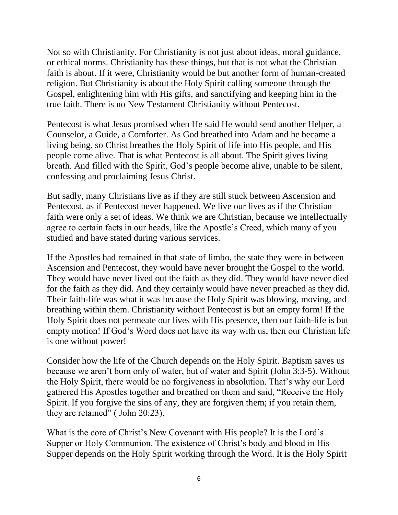Not so with Christianity. For Christianity is not just about ideas, moral guidance, or ethical norms. Christianity has these things, but that is not what the Christian faith is about. If it were, Christianity would be but another form of human-created religion. But Christianity is about the Holy Spirit calling someone through the Gospel, enlightening him with His gifts, and sanctifying and keeping him in the true faith. There is no New Testament Christianity without Pentecost.

Pentecost is what Jesus promised when He said He would send another Helper, a Counselor, a Guide, a Comforter. As God breathed into Adam and he became a living being, so Christ breathes the Holy Spirit of life into His people, and His people come alive. That is what Pentecost is all about. The Spirit gives living breath. And filled with the Spirit, God's people become alive, unable to be silent, confessing and proclaiming Jesus Christ.

But sadly, many Christians live as if they are still stuck between Ascension and Pentecost, as if Pentecost never happened. We live our lives as if the Christian faith were only a set of ideas. We think we are Christian, because we intellectually agree to certain facts in our heads, like the Apostle's Creed, which many of you studied and have stated during various services.

If the Apostles had remained in that state of limbo, the state they were in between Ascension and Pentecost, they would have never brought the Gospel to the world. They would have never lived out the faith as they did. They would have never died for the faith as they did. And they certainly would have never preached as they did. Their faith-life was what it was because the Holy Spirit was blowing, moving, and breathing within them. Christianity without Pentecost is but an empty form! If the Holy Spirit does not permeate our lives with His presence, then our faith-life is but empty motion! If God's Word does not have its way with us, then our Christian life is one without power!

Consider how the life of the Church depends on the Holy Spirit. Baptism saves us because we aren't born only of water, but of water and Spirit (John 3:3-5). Without the Holy Spirit, there would be no forgiveness in absolution. That's why our Lord gathered His Apostles together and breathed on them and said, "Receive the Holy Spirit. If you forgive the sins of any, they are forgiven them; if you retain them, they are retained" ( John 20:23).

What is the core of Christ's New Covenant with His people? It is the Lord's Supper or Holy Communion. The existence of Christ's body and blood in His Supper depends on the Holy Spirit working through the Word. It is the Holy Spirit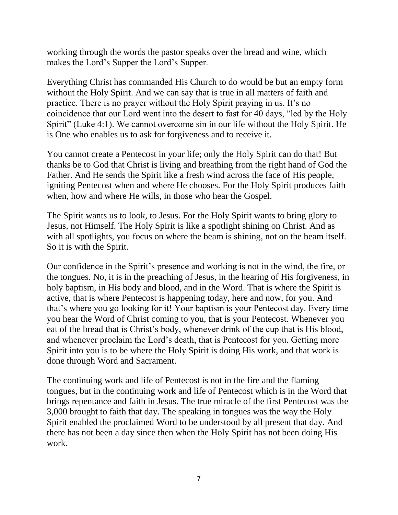working through the words the pastor speaks over the bread and wine, which makes the Lord's Supper the Lord's Supper.

Everything Christ has commanded His Church to do would be but an empty form without the Holy Spirit. And we can say that is true in all matters of faith and practice. There is no prayer without the Holy Spirit praying in us. It's no coincidence that our Lord went into the desert to fast for 40 days, "led by the Holy Spirit" (Luke 4:1). We cannot overcome sin in our life without the Holy Spirit. He is One who enables us to ask for forgiveness and to receive it.

You cannot create a Pentecost in your life; only the Holy Spirit can do that! But thanks be to God that Christ is living and breathing from the right hand of God the Father. And He sends the Spirit like a fresh wind across the face of His people, igniting Pentecost when and where He chooses. For the Holy Spirit produces faith when, how and where He wills, in those who hear the Gospel.

The Spirit wants us to look, to Jesus. For the Holy Spirit wants to bring glory to Jesus, not Himself. The Holy Spirit is like a spotlight shining on Christ. And as with all spotlights, you focus on where the beam is shining, not on the beam itself. So it is with the Spirit.

Our confidence in the Spirit's presence and working is not in the wind, the fire, or the tongues. No, it is in the preaching of Jesus, in the hearing of His forgiveness, in holy baptism, in His body and blood, and in the Word. That is where the Spirit is active, that is where Pentecost is happening today, here and now, for you. And that's where you go looking for it! Your baptism is your Pentecost day. Every time you hear the Word of Christ coming to you, that is your Pentecost. Whenever you eat of the bread that is Christ's body, whenever drink of the cup that is His blood, and whenever proclaim the Lord's death, that is Pentecost for you. Getting more Spirit into you is to be where the Holy Spirit is doing His work, and that work is done through Word and Sacrament.

The continuing work and life of Pentecost is not in the fire and the flaming tongues, but in the continuing work and life of Pentecost which is in the Word that brings repentance and faith in Jesus. The true miracle of the first Pentecost was the 3,000 brought to faith that day. The speaking in tongues was the way the Holy Spirit enabled the proclaimed Word to be understood by all present that day. And there has not been a day since then when the Holy Spirit has not been doing His work.